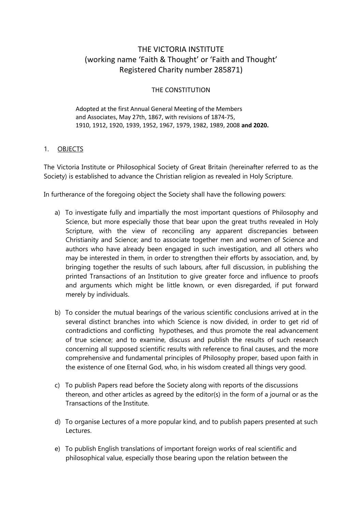# THE VICTORIA INSTITUTE (working name 'Faith & Thought' or 'Faith and Thought' Registered Charity number 285871)

# THE CONSTITUTION

 Adopted at the first Annual General Meeting of the Members and Associates, May 27th, 1867, with revisions of 1874-75, 1910, 1912, 1920, 1939, 1952, 1967, 1979, 1982, 1989, 2008 **and 2020.**

# 1. OBJECTS

The Victoria Institute or Philosophical Society of Great Britain (hereinafter referred to as the Society) is established to advance the Christian religion as revealed in Holy Scripture.

In furtherance of the foregoing object the Society shall have the following powers:

- a) To investigate fully and impartially the most important questions of Philosophy and Science, but more especially those that bear upon the great truths revealed in Holy Scripture, with the view of reconciling any apparent discrepancies between Christianity and Science; and to associate together men and women of Science and authors who have already been engaged in such investigation, and all others who may be interested in them, in order to strengthen their efforts by association, and, by bringing together the results of such labours, after full discussion, in publishing the printed Transactions of an Institution to give greater force and influence to proofs and arguments which might be little known, or even disregarded, if put forward merely by individuals.
- b) To consider the mutual bearings of the various scientific conclusions arrived at in the several distinct branches into which Science is now divided, in order to get rid of contradictions and conflicting hypotheses, and thus promote the real advancement of true science; and to examine, discuss and publish the results of such research concerning all supposed scientific results with reference to final causes, and the more comprehensive and fundamental principles of Philosophy proper, based upon faith in the existence of one Eternal God, who, in his wisdom created all things very good.
- c) To publish Papers read before the Society along with reports of the discussions thereon, and other articles as agreed by the editor(s) in the form of a journal or as the Transactions of the Institute.
- d) To organise Lectures of a more popular kind, and to publish papers presented at such Lectures.
- e) To publish English translations of important foreign works of real scientific and philosophical value, especially those bearing upon the relation between the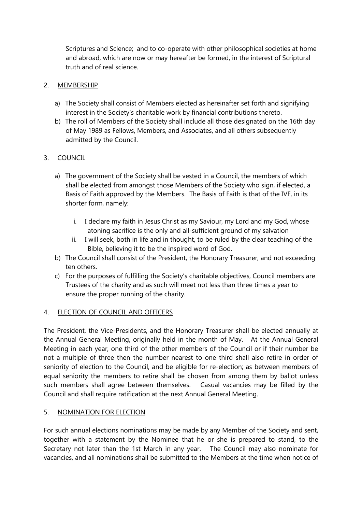Scriptures and Science; and to co-operate with other philosophical societies at home and abroad, which are now or may hereafter be formed, in the interest of Scriptural truth and of real science.

### 2. MEMBERSHIP

- a) The Society shall consist of Members elected as hereinafter set forth and signifying interest in the Society's charitable work by financial contributions thereto.
- b) The roll of Members of the Society shall include all those designated on the 16th day of May 1989 as Fellows, Members, and Associates, and all others subsequently admitted by the Council.

# 3. COUNCIL

- a) The government of the Society shall be vested in a Council, the members of which shall be elected from amongst those Members of the Society who sign, if elected, a Basis of Faith approved by the Members. The Basis of Faith is that of the IVF, in its shorter form, namely:
	- i. I declare my faith in Jesus Christ as my Saviour, my Lord and my God, whose atoning sacrifice is the only and all-sufficient ground of my salvation
	- ii. I will seek, both in life and in thought, to be ruled by the clear teaching of the Bible, believing it to be the inspired word of God.
- b) The Council shall consist of the President, the Honorary Treasurer, and not exceeding ten others.
- c) For the purposes of fulfilling the Society's charitable objectives, Council members are Trustees of the charity and as such will meet not less than three times a year to ensure the proper running of the charity.

# 4. ELECTION OF COUNCIL AND OFFICERS

The President, the Vice-Presidents, and the Honorary Treasurer shall be elected annually at the Annual General Meeting, originally held in the month of May. At the Annual General Meeting in each year, one third of the other members of the Council or if their number be not a multiple of three then the number nearest to one third shall also retire in order of seniority of election to the Council, and be eligible for re-election; as between members of equal seniority the members to retire shall be chosen from among them by ballot unless such members shall agree between themselves. Casual vacancies may be filled by the Council and shall require ratification at the next Annual General Meeting.

# 5. NOMINATION FOR ELECTION

For such annual elections nominations may be made by any Member of the Society and sent, together with a statement by the Nominee that he or she is prepared to stand, to the Secretary not later than the 1st March in any year. The Council may also nominate for vacancies, and all nominations shall be submitted to the Members at the time when notice of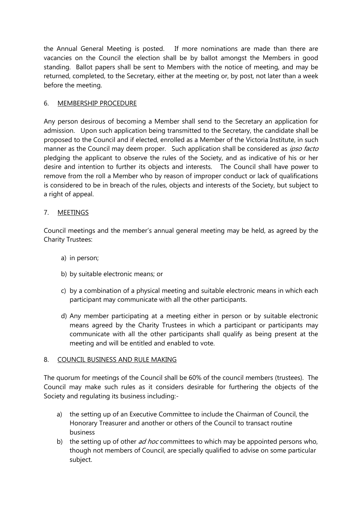the Annual General Meeting is posted. If more nominations are made than there are vacancies on the Council the election shall be by ballot amongst the Members in good standing. Ballot papers shall be sent to Members with the notice of meeting, and may be returned, completed, to the Secretary, either at the meeting or, by post, not later than a week before the meeting.

# 6. MEMBERSHIP PROCEDURE

Any person desirous of becoming a Member shall send to the Secretary an application for admission. Upon such application being transmitted to the Secretary, the candidate shall be proposed to the Council and if elected, enrolled as a Member of the Victoria Institute, in such manner as the Council may deem proper. Such application shall be considered as ipso facto pledging the applicant to observe the rules of the Society, and as indicative of his or her desire and intention to further its objects and interests. The Council shall have power to remove from the roll a Member who by reason of improper conduct or lack of qualifications is considered to be in breach of the rules, objects and interests of the Society, but subject to a right of appeal.

# 7. MEETINGS

Council meetings and the member's annual general meeting may be held, as agreed by the Charity Trustees:

- a) in person;
- b) by suitable electronic means; or
- c) by a combination of a physical meeting and suitable electronic means in which each participant may communicate with all the other participants.
- d) Any member participating at a meeting either in person or by suitable electronic means agreed by the Charity Trustees in which a participant or participants may communicate with all the other participants shall qualify as being present at the meeting and will be entitled and enabled to vote.

# 8. COUNCIL BUSINESS AND RULE MAKING

The quorum for meetings of the Council shall be 60% of the council members (trustees). The Council may make such rules as it considers desirable for furthering the objects of the Society and regulating its business including:-

- a) the setting up of an Executive Committee to include the Chairman of Council, the Honorary Treasurer and another or others of the Council to transact routine business
- b) the setting up of other  $ad$  hoc committees to which may be appointed persons who, though not members of Council, are specially qualified to advise on some particular subject.